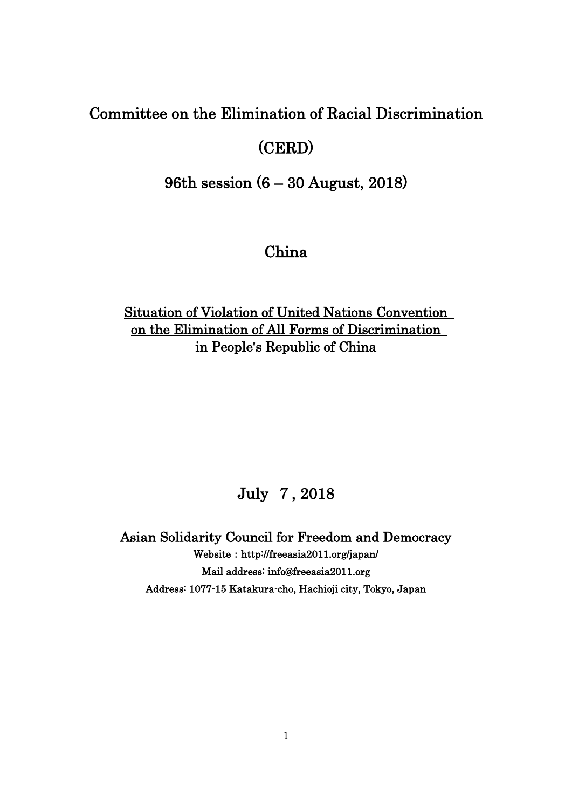# Committee on the Elimination of Racial Discrimination

# (CERD)

96th session (6 – 30 August, 2018)

# China

## Situation of Violation of United Nations Convention on the Elimination of All Forms of Discrimination in People's Republic of China

# July 7, 2018

Asian Solidarity Council for Freedom and Democracy Website: http://freeasia2011.org/japan/ Mail address: info@freeasia2011.org Address: 1077-15 Katakura-cho, Hachioji city, Tokyo, Japan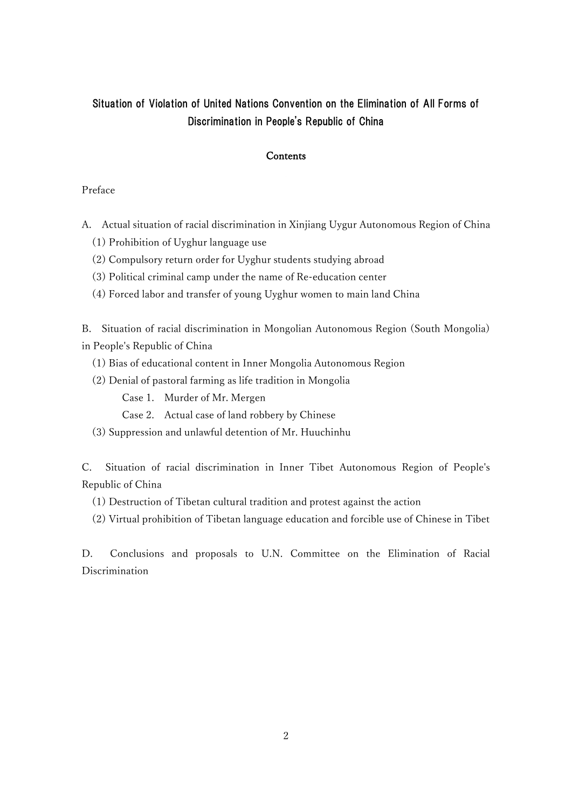## Situation of Violation of United Nations Convention on the Elimination of All Forms of Discrimination in People's Republic of China

### **Contents**

### Preface

- A. Actual situation of racial discrimination in Xinjiang Uygur Autonomous Region of China
	- (1) Prohibition of Uyghur language use
	- (2) Compulsory return order for Uyghur students studying abroad
	- (3) Political criminal camp under the name of Re-education center
	- (4) Forced labor and transfer of young Uyghur women to main land China

B. Situation of racial discrimination in Mongolian Autonomous Region (South Mongolia) in People's Republic of China

- (1) Bias of educational content in Inner Mongolia Autonomous Region
- (2) Denial of pastoral farming as life tradition in Mongolia

Case 1. Murder of Mr. Mergen

- Case 2. Actual case of land robbery by Chinese
- (3) Suppression and unlawful detention of Mr. Huuchinhu

C. Situation of racial discrimination in Inner Tibet Autonomous Region of People's Republic of China

- (1) Destruction of Tibetan cultural tradition and protest against the action
- (2) Virtual prohibition of Tibetan language education and forcible use of Chinese in Tibet

D. Conclusions and proposals to U.N. Committee on the Elimination of Racial Discrimination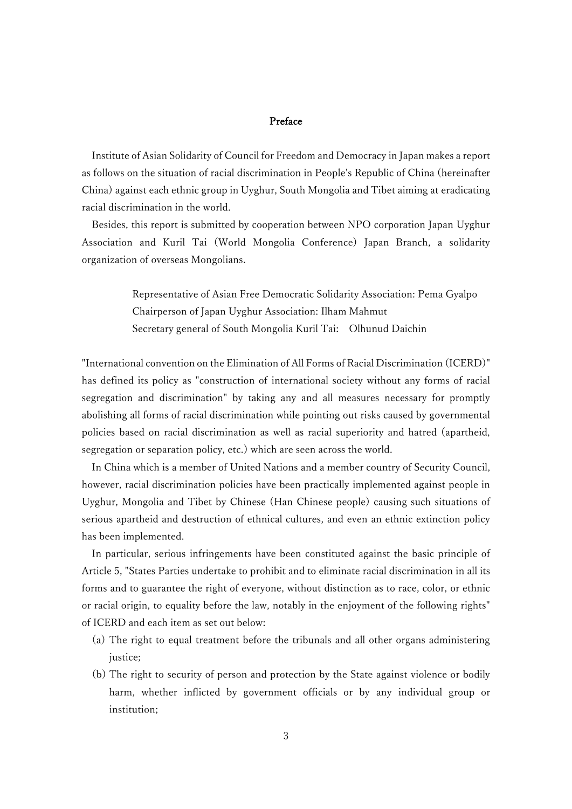### Preface

Institute of Asian Solidarity of Council for Freedom and Democracy in Japan makes a report as follows on the situation of racial discrimination in People's Republic of China (hereinafter China) against each ethnic group in Uyghur, South Mongolia and Tibet aiming at eradicating racial discrimination in the world.

Besides, this report is submitted by cooperation between NPO corporation Japan Uyghur Association and Kuril Tai (World Mongolia Conference) Japan Branch, a solidarity organization of overseas Mongolians.

> Representative of Asian Free Democratic Solidarity Association: Pema Gyalpo Chairperson of Japan Uyghur Association: Ilham Mahmut Secretary general of South Mongolia Kuril Tai: Olhunud Daichin

"International convention on the Elimination of All Forms of Racial Discrimination (ICERD)" has defined its policy as "construction of international society without any forms of racial segregation and discrimination" by taking any and all measures necessary for promptly abolishing all forms of racial discrimination while pointing out risks caused by governmental policies based on racial discrimination as well as racial superiority and hatred (apartheid, segregation or separation policy, etc.) which are seen across the world.

In China which is a member of United Nations and a member country of Security Council, however, racial discrimination policies have been practically implemented against people in Uyghur, Mongolia and Tibet by Chinese (Han Chinese people) causing such situations of serious apartheid and destruction of ethnical cultures, and even an ethnic extinction policy has been implemented.

In particular, serious infringements have been constituted against the basic principle of Article 5, "States Parties undertake to prohibit and to eliminate racial discrimination in all its forms and to guarantee the right of everyone, without distinction as to race, color, or ethnic or racial origin, to equality before the law, notably in the enjoyment of the following rights" of ICERD and each item as set out below:

- (a) The right to equal treatment before the tribunals and all other organs administering justice:
- (b) The right to security of person and protection by the State against violence or bodily harm, whether inflicted by government officials or by any individual group or institution;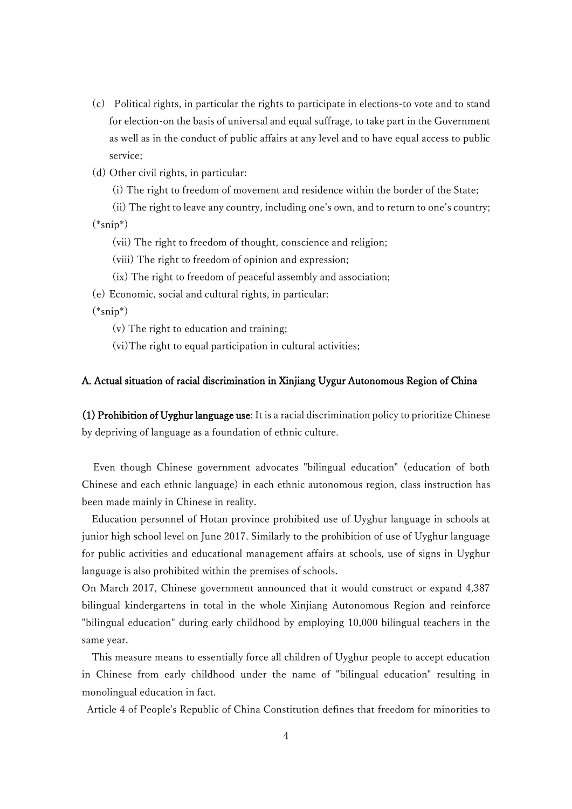- (c) Political rights, in particular the rights to participate in elections-to vote and to stand for election-on the basis of universal and equal suffrage, to take part in the Government as well as in the conduct of public affairs at any level and to have equal access to public service;
- (d) Other civil rights, in particular:
	- (i) The right to freedom of movement and residence within the border of the State;

(ii) The right to leave any country, including one's own, and to return to one's country; (\*snip\*)

- (vii) The right to freedom of thought, conscience and religion;
- (viii) The right to freedom of opinion and expression;
- (ix) The right to freedom of peaceful assembly and association;
- (e) Economic, social and cultural rights, in particular:

 $(*\text{snip}*)$ 

- (v) The right to education and training;
- (vi)The right to equal participation in cultural activities;

### A. Actual situation of racial discrimination in Xinjiang Uygur Autonomous Region of China

(1) Prohibition of Uyghur language use: It is a racial discrimination policy to prioritize Chinese by depriving of language as a foundation of ethnic culture.

Even though Chinese government advocates "bilingual education" (education of both Chinese and each ethnic language) in each ethnic autonomous region, class instruction has been made mainly in Chinese in reality.

Education personnel of Hotan province prohibited use of Uyghur language in schools at junior high school level on June 2017. Similarly to the prohibition of use of Uyghur language for public activities and educational management affairs at schools, use of signs in Uyghur language is also prohibited within the premises of schools.

On March 2017, Chinese government announced that it would construct or expand 4,387 bilingual kindergartens in total in the whole Xinjiang Autonomous Region and reinforce "bilingual education" during early childhood by employing 10,000 bilingual teachers in the same year.

This measure means to essentially force all children of Uyghur people to accept education in Chinese from early childhood under the name of "bilingual education" resulting in monolingual education in fact.

Article 4 of People's Republic of China Constitution defines that freedom for minorities to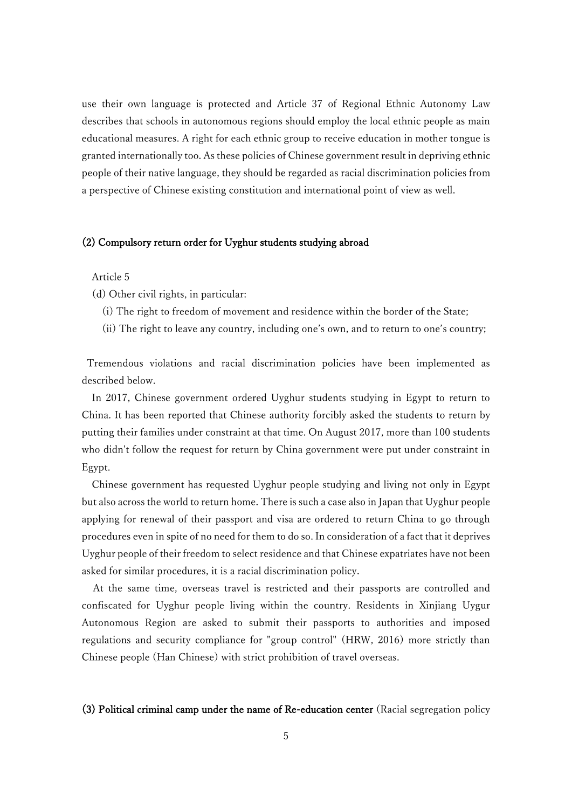use their own language is protected and Article 37 of Regional Ethnic Autonomy Law describes that schools in autonomous regions should employ the local ethnic people as main educational measures. A right for each ethnic group to receive education in mother tongue is granted internationally too. As these policies of Chinese government result in depriving ethnic people of their native language, they should be regarded as racial discrimination policies from a perspective of Chinese existing constitution and international point of view as well.

### (2) Compulsory return order for Uyghur students studying abroad

Article 5

- (d) Other civil rights, in particular:
	- (i) The right to freedom of movement and residence within the border of the State;
	- (ii) The right to leave any country, including one's own, and to return to one's country;

Tremendous violations and racial discrimination policies have been implemented as described below.

In 2017, Chinese government ordered Uyghur students studying in Egypt to return to China. It has been reported that Chinese authority forcibly asked the students to return by putting their families under constraint at that time. On August 2017, more than 100 students who didn't follow the request for return by China government were put under constraint in Egypt.

Chinese government has requested Uyghur people studying and living not only in Egypt but also across the world to return home. There is such a case also in Japan that Uyghur people applying for renewal of their passport and visa are ordered to return China to go through procedures even in spite of no need for them to do so. In consideration of a fact that it deprives Uyghur people of their freedom to select residence and that Chinese expatriates have not been asked for similar procedures, it is a racial discrimination policy.

At the same time, overseas travel is restricted and their passports are controlled and confiscated for Uyghur people living within the country. Residents in Xinjiang Uygur Autonomous Region are asked to submit their passports to authorities and imposed regulations and security compliance for "group control" (HRW, 2016) more strictly than Chinese people (Han Chinese) with strict prohibition of travel overseas.

### (3) Political criminal camp under the name of Re-education center (Racial segregation policy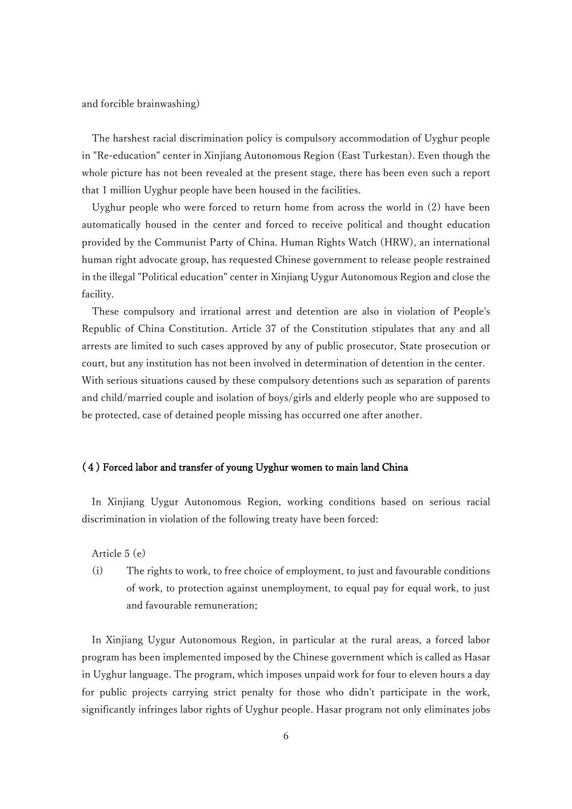and forcible brainwashing)

The harshest racial discrimination policy is compulsory accommodation of Uyghur people in "Re-education" center in Xinjiang Autonomous Region (East Turkestan). Even though the whole picture has not been revealed at the present stage, there has been even such a report that 1 million Uyghur people have been housed in the facilities.

Uyghur people who were forced to return home from across the world in (2) have been automatically housed in the center and forced to receive political and thought education provided by the Communist Party of China. Human Rights Watch (HRW), an international human right advocate group, has requested Chinese government to release people restrained in the illegal "Political education" center in Xinjiang Uygur Autonomous Region and close the facility.

These compulsory and irrational arrest and detention are also in violation of People's Republic of China Constitution. Article 37 of the Constitution stipulates that any and all arrests are limited to such cases approved by any of public prosecutor, State prosecution or court, but any institution has not been involved in determination of detention in the center. With serious situations caused by these compulsory detentions such as separation of parents and child/married couple and isolation of boys/girls and elderly people who are supposed to be protected, case of detained people missing has occurred one after another.

## (4) Forced labor and transfer of young Uyghur women to main land China

In Xinjiang Uygur Autonomous Region, working conditions based on serious racial discrimination in violation of the following treaty have been forced:

Article 5 (e)

(i) The rights to work, to free choice of employment, to just and favourable conditions of work, to protection against unemployment, to equal pay for equal work, to just and favourable remuneration;

In Xinjiang Uygur Autonomous Region, in particular at the rural areas, a forced labor program has been implemented imposed by the Chinese government which is called as Hasar in Uyghur language. The program, which imposes unpaid work for four to eleven hours a day for public projects carrying strict penalty for those who didn't participate in the work, significantly infringes labor rights of Uyghur people. Hasar program not only eliminates jobs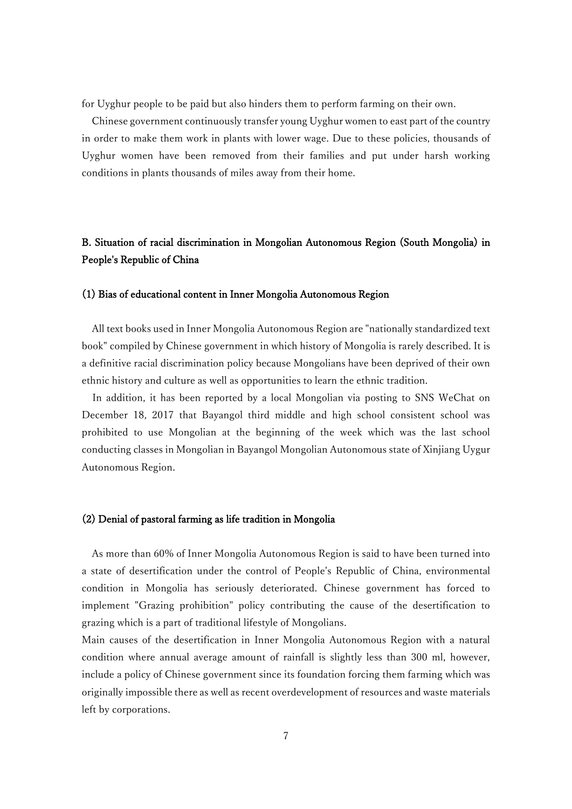for Uyghur people to be paid but also hinders them to perform farming on their own.

Chinese government continuously transfer young Uyghur women to east part of the country in order to make them work in plants with lower wage. Due to these policies, thousands of Uyghur women have been removed from their families and put under harsh working conditions in plants thousands of miles away from their home.

## B. Situation of racial discrimination in Mongolian Autonomous Region (South Mongolia) in People's Republic of China

### (1) Bias of educational content in Inner Mongolia Autonomous Region

All text books used in Inner Mongolia Autonomous Region are "nationally standardized text book" compiled by Chinese government in which history of Mongolia is rarely described. It is a definitive racial discrimination policy because Mongolians have been deprived of their own ethnic history and culture as well as opportunities to learn the ethnic tradition.

In addition, it has been reported by a local Mongolian via posting to SNS WeChat on December 18, 2017 that Bayangol third middle and high school consistent school was prohibited to use Mongolian at the beginning of the week which was the last school conducting classes in Mongolian in Bayangol Mongolian Autonomous state of Xinjiang Uygur Autonomous Region.

### (2) Denial of pastoral farming as life tradition in Mongolia

As more than 60% of Inner Mongolia Autonomous Region is said to have been turned into a state of desertification under the control of People's Republic of China, environmental condition in Mongolia has seriously deteriorated. Chinese government has forced to implement "Grazing prohibition" policy contributing the cause of the desertification to grazing which is a part of traditional lifestyle of Mongolians.

Main causes of the desertification in Inner Mongolia Autonomous Region with a natural condition where annual average amount of rainfall is slightly less than 300 ml, however, include a policy of Chinese government since its foundation forcing them farming which was originally impossible there as well as recent overdevelopment of resources and waste materials left by corporations.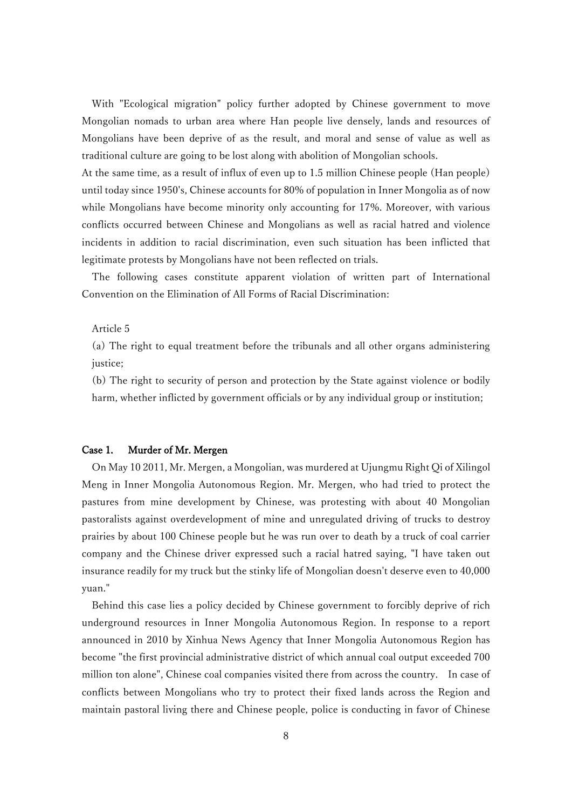With "Ecological migration" policy further adopted by Chinese government to move Mongolian nomads to urban area where Han people live densely, lands and resources of Mongolians have been deprive of as the result, and moral and sense of value as well as traditional culture are going to be lost along with abolition of Mongolian schools.

At the same time, as a result of influx of even up to 1.5 million Chinese people (Han people) until today since 1950's, Chinese accounts for 80% of population in Inner Mongolia as of now while Mongolians have become minority only accounting for 17%. Moreover, with various conflicts occurred between Chinese and Mongolians as well as racial hatred and violence incidents in addition to racial discrimination, even such situation has been inflicted that legitimate protests by Mongolians have not been reflected on trials.

The following cases constitute apparent violation of written part of International Convention on the Elimination of All Forms of Racial Discrimination:

Article 5

(a) The right to equal treatment before the tribunals and all other organs administering justice;

(b) The right to security of person and protection by the State against violence or bodily harm, whether inflicted by government officials or by any individual group or institution;

### Case 1. Murder of Mr. Mergen

On May 10 2011, Mr. Mergen, a Mongolian, was murdered at Ujungmu Right Qi of Xilingol Meng in Inner Mongolia Autonomous Region. Mr. Mergen, who had tried to protect the pastures from mine development by Chinese, was protesting with about 40 Mongolian pastoralists against overdevelopment of mine and unregulated driving of trucks to destroy prairies by about 100 Chinese people but he was run over to death by a truck of coal carrier company and the Chinese driver expressed such a racial hatred saying, "I have taken out insurance readily for my truck but the stinky life of Mongolian doesn't deserve even to 40,000 yuan."

Behind this case lies a policy decided by Chinese government to forcibly deprive of rich underground resources in Inner Mongolia Autonomous Region. In response to a report announced in 2010 by Xinhua News Agency that Inner Mongolia Autonomous Region has become "the first provincial administrative district of which annual coal output exceeded 700 million ton alone", Chinese coal companies visited there from across the country. In case of conflicts between Mongolians who try to protect their fixed lands across the Region and maintain pastoral living there and Chinese people, police is conducting in favor of Chinese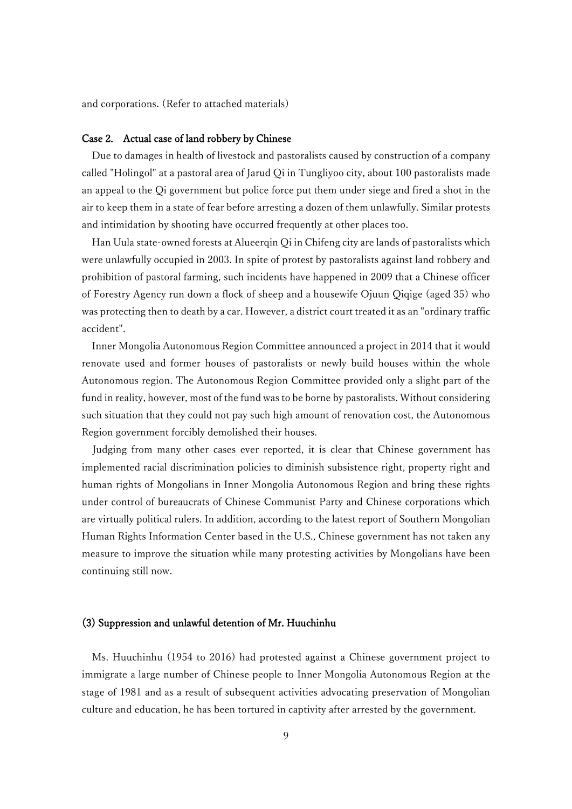and corporations. (Refer to attached materials)

### Case 2. Actual case of land robbery by Chinese

Due to damages in health of livestock and pastoralists caused by construction of a company called "Holingol" at a pastoral area of Jarud Qi in Tungliyoo city, about 100 pastoralists made an appeal to the Qi government but police force put them under siege and fired a shot in the air to keep them in a state of fear before arresting a dozen of them unlawfully. Similar protests and intimidation by shooting have occurred frequently at other places too.

Han Uula state-owned forests at Alueerqin Qi in Chifeng city are lands of pastoralists which were unlawfully occupied in 2003. In spite of protest by pastoralists against land robbery and prohibition of pastoral farming, such incidents have happened in 2009 that a Chinese officer of Forestry Agency run down a flock of sheep and a housewife Ojuun Qiqige (aged 35) who was protecting then to death by a car. However, a district court treated it as an "ordinary traffic accident".

Inner Mongolia Autonomous Region Committee announced a project in 2014 that it would renovate used and former houses of pastoralists or newly build houses within the whole Autonomous region. The Autonomous Region Committee provided only a slight part of the fund in reality, however, most of the fund was to be borne by pastoralists. Without considering such situation that they could not pay such high amount of renovation cost, the Autonomous Region government forcibly demolished their houses.

Judging from many other cases ever reported, it is clear that Chinese government has implemented racial discrimination policies to diminish subsistence right, property right and human rights of Mongolians in Inner Mongolia Autonomous Region and bring these rights under control of bureaucrats of Chinese Communist Party and Chinese corporations which are virtually political rulers. In addition, according to the latest report of Southern Mongolian Human Rights Information Center based in the U.S., Chinese government has not taken any measure to improve the situation while many protesting activities by Mongolians have been continuing still now.

#### (3) Suppression and unlawful detention of Mr. Huuchinhu

Ms. Huuchinhu (1954 to 2016) had protested against a Chinese government project to immigrate a large number of Chinese people to Inner Mongolia Autonomous Region at the stage of 1981 and as a result of subsequent activities advocating preservation of Mongolian culture and education, he has been tortured in captivity after arrested by the government.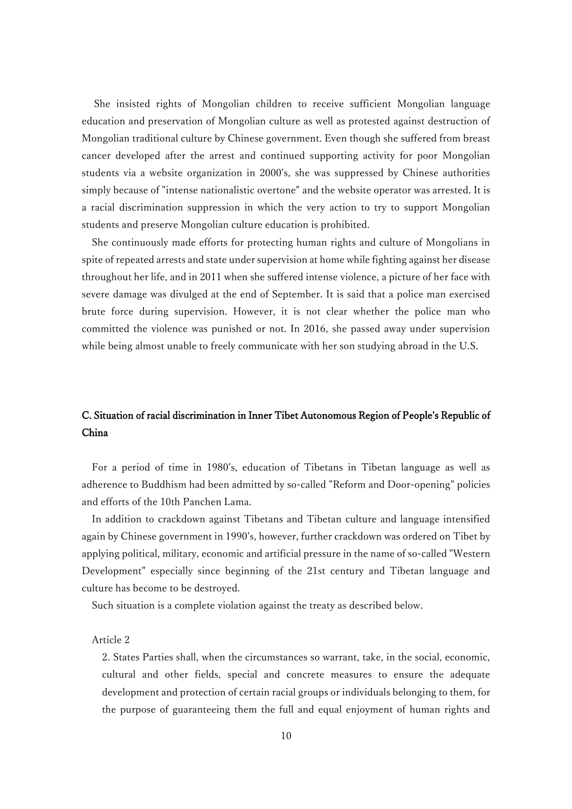She insisted rights of Mongolian children to receive sufficient Mongolian language education and preservation of Mongolian culture as well as protested against destruction of Mongolian traditional culture by Chinese government. Even though she suffered from breast cancer developed after the arrest and continued supporting activity for poor Mongolian students via a website organization in 2000's, she was suppressed by Chinese authorities simply because of "intense nationalistic overtone" and the website operator was arrested. It is a racial discrimination suppression in which the very action to try to support Mongolian students and preserve Mongolian culture education is prohibited.

She continuously made efforts for protecting human rights and culture of Mongolians in spite of repeated arrests and state under supervision at home while fighting against her disease throughout her life, and in 2011 when she suffered intense violence, a picture of her face with severe damage was divulged at the end of September. It is said that a police man exercised brute force during supervision. However, it is not clear whether the police man who committed the violence was punished or not. In 2016, she passed away under supervision while being almost unable to freely communicate with her son studying abroad in the U.S.

## C. Situation of racial discrimination in Inner Tibet Autonomous Region of People's Republic of China

For a period of time in 1980's, education of Tibetans in Tibetan language as well as adherence to Buddhism had been admitted by so-called "Reform and Door-opening" policies and efforts of the 10th Panchen Lama.

In addition to crackdown against Tibetans and Tibetan culture and language intensified again by Chinese government in 1990's, however, further crackdown was ordered on Tibet by applying political, military, economic and artificial pressure in the name of so-called "Western Development" especially since beginning of the 21st century and Tibetan language and culture has become to be destroyed.

Such situation is a complete violation against the treaty as described below.

### Article 2

2. States Parties shall, when the circumstances so warrant, take, in the social, economic, cultural and other fields, special and concrete measures to ensure the adequate development and protection of certain racial groups or individuals belonging to them, for the purpose of guaranteeing them the full and equal enjoyment of human rights and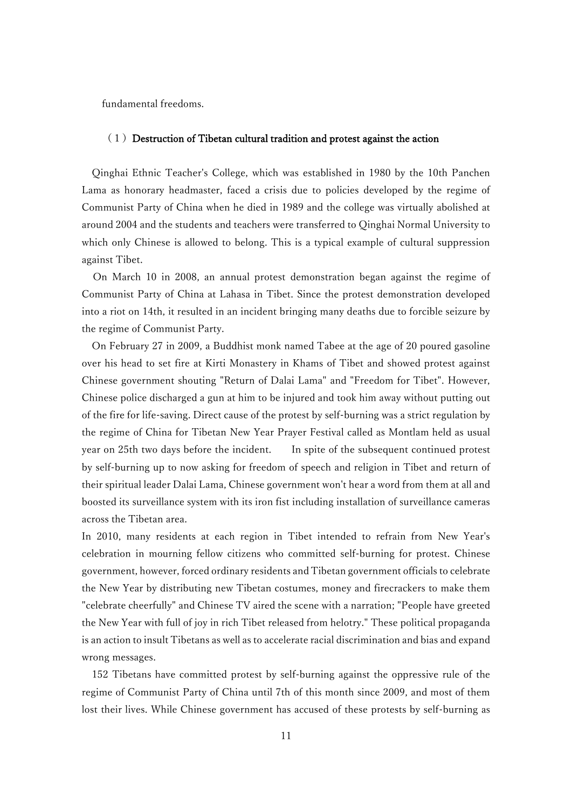fundamental freedoms.

### $(1)$  Destruction of Tibetan cultural tradition and protest against the action

Qinghai Ethnic Teacher's College, which was established in 1980 by the 10th Panchen Lama as honorary headmaster, faced a crisis due to policies developed by the regime of Communist Party of China when he died in 1989 and the college was virtually abolished at around 2004 and the students and teachers were transferred to Qinghai Normal University to which only Chinese is allowed to belong. This is a typical example of cultural suppression against Tibet.

On March 10 in 2008, an annual protest demonstration began against the regime of Communist Party of China at Lahasa in Tibet. Since the protest demonstration developed into a riot on 14th, it resulted in an incident bringing many deaths due to forcible seizure by the regime of Communist Party.

On February 27 in 2009, a Buddhist monk named Tabee at the age of 20 poured gasoline over his head to set fire at Kirti Monastery in Khams of Tibet and showed protest against Chinese government shouting "Return of Dalai Lama" and "Freedom for Tibet". However, Chinese police discharged a gun at him to be injured and took him away without putting out of the fire for life-saving. Direct cause of the protest by self-burning was a strict regulation by the regime of China for Tibetan New Year Prayer Festival called as Montlam held as usual year on 25th two days before the incident. In spite of the subsequent continued protest by self-burning up to now asking for freedom of speech and religion in Tibet and return of their spiritual leader Dalai Lama, Chinese government won't hear a word from them at all and boosted its surveillance system with its iron fist including installation of surveillance cameras across the Tibetan area.

In 2010, many residents at each region in Tibet intended to refrain from New Year's celebration in mourning fellow citizens who committed self-burning for protest. Chinese government, however, forced ordinary residents and Tibetan government officials to celebrate the New Year by distributing new Tibetan costumes, money and firecrackers to make them "celebrate cheerfully" and Chinese TV aired the scene with a narration; "People have greeted the New Year with full of joy in rich Tibet released from helotry." These political propaganda is an action to insult Tibetans as well as to accelerate racial discrimination and bias and expand wrong messages.

152 Tibetans have committed protest by self-burning against the oppressive rule of the regime of Communist Party of China until 7th of this month since 2009, and most of them lost their lives. While Chinese government has accused of these protests by self-burning as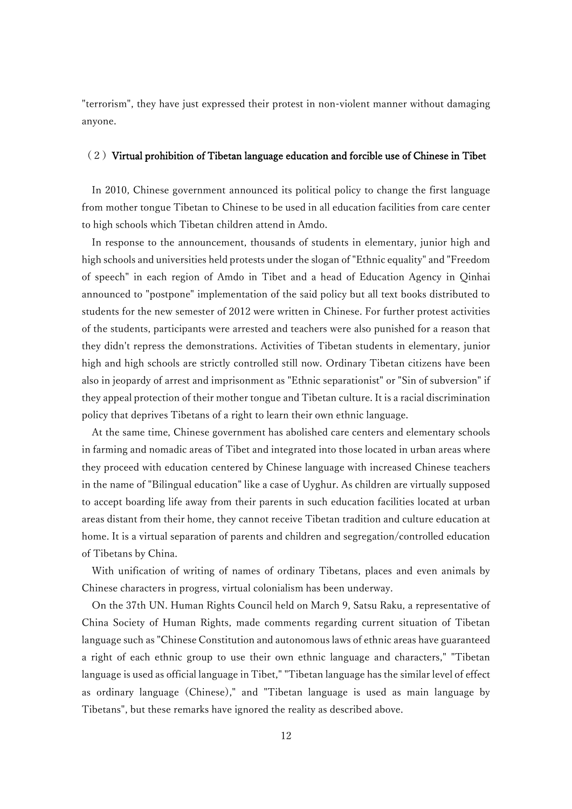"terrorism", they have just expressed their protest in non-violent manner without damaging anyone.

### $(2)$  Virtual prohibition of Tibetan language education and forcible use of Chinese in Tibet

In 2010, Chinese government announced its political policy to change the first language from mother tongue Tibetan to Chinese to be used in all education facilities from care center to high schools which Tibetan children attend in Amdo.

In response to the announcement, thousands of students in elementary, junior high and high schools and universities held protests under the slogan of "Ethnic equality" and "Freedom of speech" in each region of Amdo in Tibet and a head of Education Agency in Qinhai announced to "postpone" implementation of the said policy but all text books distributed to students for the new semester of 2012 were written in Chinese. For further protest activities of the students, participants were arrested and teachers were also punished for a reason that they didn't repress the demonstrations. Activities of Tibetan students in elementary, junior high and high schools are strictly controlled still now. Ordinary Tibetan citizens have been also in jeopardy of arrest and imprisonment as "Ethnic separationist" or "Sin of subversion" if they appeal protection of their mother tongue and Tibetan culture. It is a racial discrimination policy that deprives Tibetans of a right to learn their own ethnic language.

At the same time, Chinese government has abolished care centers and elementary schools in farming and nomadic areas of Tibet and integrated into those located in urban areas where they proceed with education centered by Chinese language with increased Chinese teachers in the name of "Bilingual education" like a case of Uyghur. As children are virtually supposed to accept boarding life away from their parents in such education facilities located at urban areas distant from their home, they cannot receive Tibetan tradition and culture education at home. It is a virtual separation of parents and children and segregation/controlled education of Tibetans by China.

With unification of writing of names of ordinary Tibetans, places and even animals by Chinese characters in progress, virtual colonialism has been underway.

On the 37th UN. Human Rights Council held on March 9, Satsu Raku, a representative of China Society of Human Rights, made comments regarding current situation of Tibetan language such as "Chinese Constitution and autonomous laws of ethnic areas have guaranteed a right of each ethnic group to use their own ethnic language and characters," "Tibetan language is used as official language in Tibet," "Tibetan language has the similar level of effect as ordinary language (Chinese)," and "Tibetan language is used as main language by Tibetans", but these remarks have ignored the reality as described above.